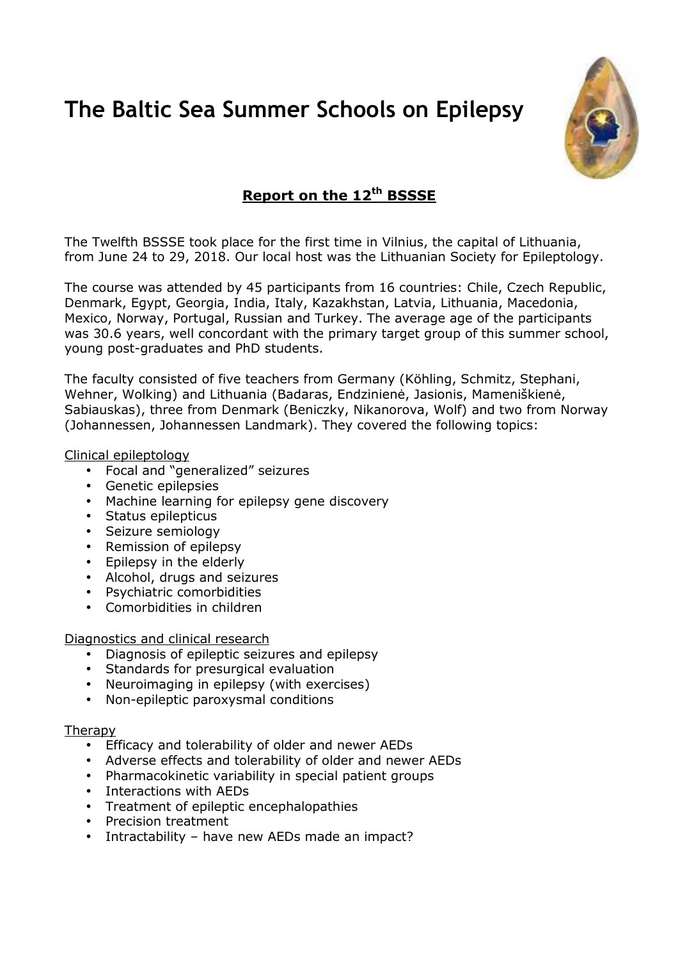# **The Baltic Sea Summer Schools on Epilepsy**



# **Report on the 12th BSSSE**

The Twelfth BSSSE took place for the first time in Vilnius, the capital of Lithuania, from June 24 to 29, 2018. Our local host was the Lithuanian Society for Epileptology.

The course was attended by 45 participants from 16 countries: Chile, Czech Republic, Denmark, Egypt, Georgia, India, Italy, Kazakhstan, Latvia, Lithuania, Macedonia, Mexico, Norway, Portugal, Russian and Turkey. The average age of the participants was 30.6 years, well concordant with the primary target group of this summer school, young post-graduates and PhD students.

The faculty consisted of five teachers from Germany (Köhling, Schmitz, Stephani, Wehner, Wolking) and Lithuania (Badaras, Endzinienė, Jasionis, Mameniškienė, Sabiauskas), three from Denmark (Beniczky, Nikanorova, Wolf) and two from Norway (Johannessen, Johannessen Landmark). They covered the following topics:

## Clinical epileptology

- Focal and "generalized" seizures
- Genetic epilepsies
- Machine learning for epilepsy gene discovery
- Status epilepticus
- Seizure semiology
- Remission of epilepsy
- Epilepsy in the elderly
- Alcohol, drugs and seizures
- Psychiatric comorbidities
- Comorbidities in children

Diagnostics and clinical research

- Diagnosis of epileptic seizures and epilepsy
- Standards for presurgical evaluation
- Neuroimaging in epilepsy (with exercises)
- Non-epileptic paroxysmal conditions

#### **Therapy**

- Efficacy and tolerability of older and newer AEDs
- Adverse effects and tolerability of older and newer AEDs
- Pharmacokinetic variability in special patient groups
- Interactions with AEDs
- Treatment of epileptic encephalopathies
- Precision treatment
- Intractability have new AEDs made an impact?